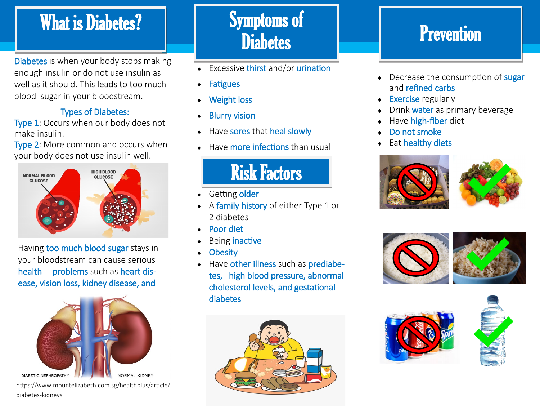### What is Diabetes? **Symptoms** of

Diabetes is when your body stops making enough insulin or do not use insulin as well as it should. This leads to too much blood sugar in your bloodstream.

#### Types of Diabetes:

Type 1: Occurs when our body does not make insulin.

Type 2: More common and occurs when your body does not use insulin well.



Having too much blood sugar stays in your bloodstream can cause serious health problems such as heart disease, vision loss, kidney disease, and



DIABETIC NEPHROPATHY

#### https://www.mountelizabeth.com.sg/healthplus/article/ diabetes-kidneys

# **Diabetes**

- Excessive thirst and/or urination
- **Fatigues**
- Weight loss
- ◆ Blurry vision
- Have sores that heal slowly
- Have more infections than usual

## Risk Factors

- ◆ Getting older
- A family history of either Type 1 or 2 diabetes
- Poor diet
- Being inactive
- **Obesity**
- Have other illness such as prediabetes, high blood pressure, abnormal cholesterol levels, and gestational diabetes



### **Prevention**

- Decrease the consumption of sugar and refined carbs
- Exercise regularly
- Drink water as primary beverage
- Have high-fiber diet
- Do not smoke
- Eat healthy diets